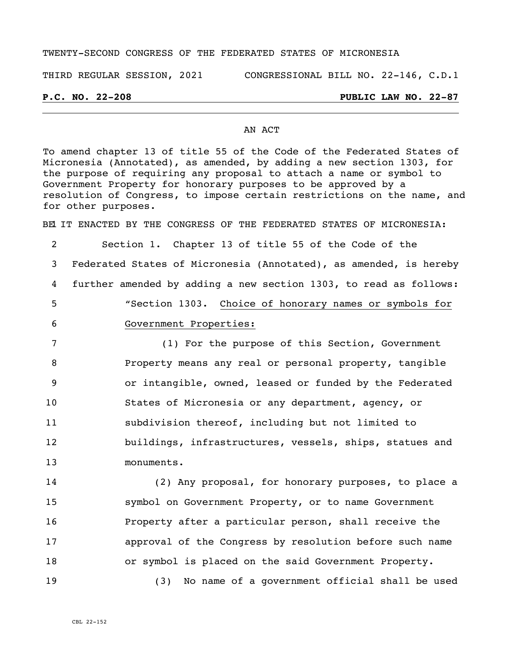### TWENTY-SECOND CONGRESS OF THE FEDERATED STATES OF MICRONESIA

THIRD REGULAR SESSION, 2021 CONGRESSIONAL BILL NO. 22-146, C.D.1

## **P.C. NO. 22-208 PUBLIC LAW NO. 22-87**

### AN ACT

To amend chapter 13 of title 55 of the Code of the Federated States of Micronesia (Annotated), as amended, by adding a new section 1303, for the purpose of requiring any proposal to attach a name or symbol to Government Property for honorary purposes to be approved by a resolution of Congress, to impose certain restrictions on the name, and for other purposes.

BEL IT ENACTED BY THE CONGRESS OF THE FEDERATED STATES OF MICRONESIA:

 Section 1. Chapter 13 of title 55 of the Code of the Federated States of Micronesia (Annotated), as amended, is hereby further amended by adding a new section 1303, to read as follows: "Section 1303. Choice of honorary names or symbols for Government Properties: (1) For the purpose of this Section, Government Property means any real or personal property, tangible or intangible, owned, leased or funded by the Federated States of Micronesia or any department, agency, or subdivision thereof, including but not limited to buildings, infrastructures, vessels, ships, statues and monuments.

 (2) Any proposal, for honorary purposes, to place a symbol on Government Property, or to name Government Property after a particular person, shall receive the approval of the Congress by resolution before such name or symbol is placed on the said Government Property.

19 (3) No name of a government official shall be used